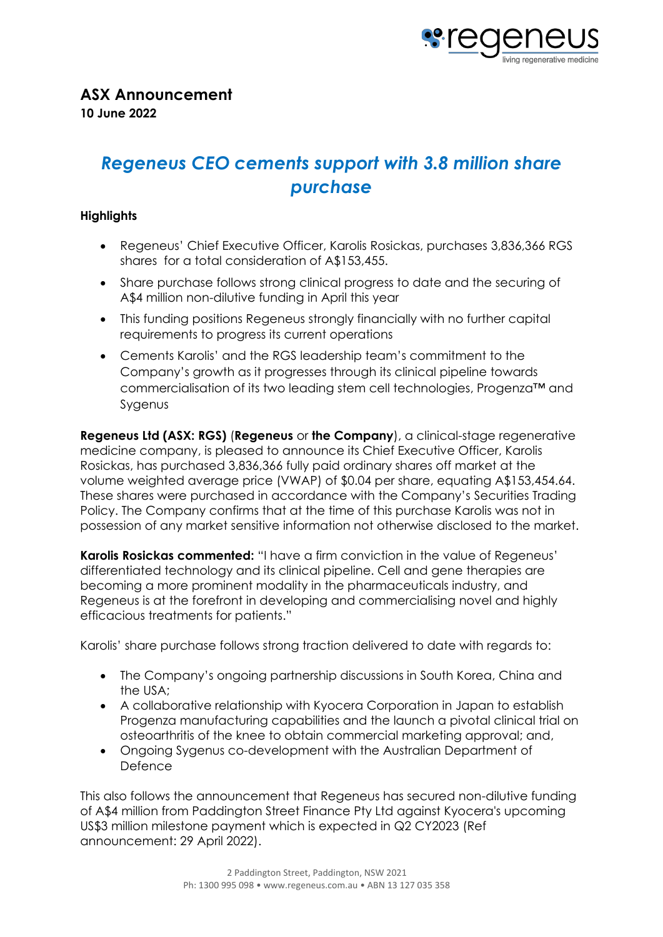

# *Regeneus CEO cements support with 3.8 million share purchase*

## **Highlights**

- Regeneus' Chief Executive Officer, Karolis Rosickas, purchases 3,836,366 RGS shares for a total consideration of A\$153,455.
- Share purchase follows strong clinical progress to date and the securing of A\$4 million non-dilutive funding in April this year
- This funding positions Regeneus strongly financially with no further capital requirements to progress its current operations
- Cements Karolis' and the RGS leadership team's commitment to the Company's growth as it progresses through its clinical pipeline towards commercialisation of its two leading stem cell technologies, Progenza™ and Sygenus

**Regeneus Ltd (ASX: RGS)** (**Regeneus** or **the Company**), a clinical-stage regenerative medicine company, is pleased to announce its Chief Executive Officer, Karolis Rosickas, has purchased 3,836,366 fully paid ordinary shares off market at the volume weighted average price (VWAP) of \$0.04 per share, equating A\$153,454.64. These shares were purchased in accordance with the Company's Securities Trading Policy. The Company confirms that at the time of this purchase Karolis was not in possession of any market sensitive information not otherwise disclosed to the market.

Karolis Rosickas commented: "I have a firm conviction in the value of Regeneus' differentiated technology and its clinical pipeline. Cell and gene therapies are becoming a more prominent modality in the pharmaceuticals industry, and Regeneus is at the forefront in developing and commercialising novel and highly efficacious treatments for patients."

Karolis' share purchase follows strong traction delivered to date with regards to:

- The Company's ongoing partnership discussions in South Korea, China and the USA;
- A collaborative relationship with Kyocera Corporation in Japan to establish Progenza manufacturing capabilities and the launch a pivotal clinical trial on osteoarthritis of the knee to obtain commercial marketing approval; and,
- Ongoing Sygenus co-development with the Australian Department of Defence

This also follows the announcement that Regeneus has secured non-dilutive funding of A\$4 million from Paddington Street Finance Pty Ltd against Kyocera's upcoming US\$3 million milestone payment which is expected in Q2 CY2023 (Ref announcement: 29 April 2022).